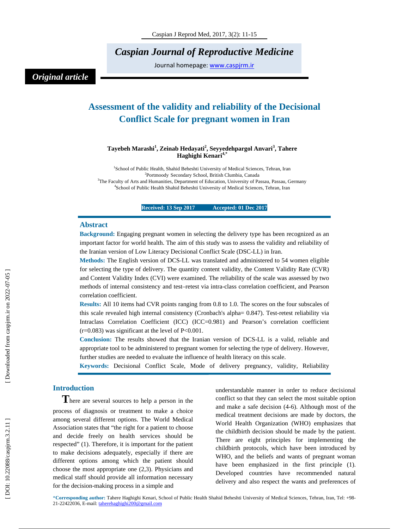*Caspian Journal of Reproductive Medicine* 

Journal homepage: www.caspjrm.ir

## *Original article*

# **Assessment of the validity and reliability of the Decisional Conflict Scale for pregnant women in Iran**

#### **Tayebeh Marashi 1 , Zeinab Hedayati 2 , Seyyedehpargol Anvari 3 , Tahere Haghighi Kenari4,\***

<sup>1</sup>School of Public Health, Shahid Beheshti University of Medical Sciences, Tehran, Iran <sup>2</sup> Pertmeedy Secondary School, British Clumbic Canada Portmoody Secondary School, British Clumbia, Canada <sup>3</sup>The Faculty of Arts and Humanities, Department of Education, University of Passau, Passau, Germany <sup>4</sup>Sebool of Public Hoalth Shokid Paboeki University of Mediael Sciences, Tahran Jran <sup>4</sup>School of Public Health Shahid Beheshti University of Medical Sciences, Tehran, Iran

**Received: 13 Sep 2017 Accepted: 01 Dec 2017** 

#### **Abstract**

**Background:** Engaging pregnant women in selecting the delivery type has been recognized as an important factor for world health. The aim of this study was to assess the validity and reliability of the Iranian version of Low Literacy Decisional Conflict Scale (DSC-LL) in Iran.

**Methods:** The English version of DCS-LL was translated and administered to 54 women eligible for selecting the type of delivery. The quantity content validity, the Content Validity Rate (CVR) and Content Validity Index (CVI) were examined. The reliability of the scale was assessed by two methods of internal consistency and test–retest via intra-class correlation coefficient, and Pearson correlation coefficient.

**Results:** All 10 items had CVR points ranging from 0.8 to 1.0. The scores on the four subscales of this scale revealed high internal consistency (Cronbach's alpha= 0.847). Test-retest reliability via Intraclass Correlation Coefficient (ICC) (ICC=0.981) and Pearson's correlation coefficient  $(r=0.083)$  was significant at the level of P<0.001.

**Conclusion:** The results showed that the Iranian version of DCS-LL is a valid, reliable and appropriate tool to be administered to pregnant women for selecting the type of delivery. However, further studies are needed to evaluate the influence of health literacy on this scale.

**Keywords:** Decisional Conflict Scale, Mode of delivery pregnancy, validity, Reliability

**Introduction**<br>**There are several sources to help a person in the** process of diagnosis or treatment to make a choice among several different options. The World Medical Association states that "the right for a patient to choose and decide freely on health services should be respected" (1). Therefore, it is important for the patient to make decisions adequately, especially if there are different options among which the patient should choose the most appropriate one (2,3). Physicians and medical staff should provide all information necessary for the decision-making process in a simple and

understandable manner in order to reduce decisional conflict so that they can select the most suitable option and make a safe decision (4-6). Although most of the medical treatment decisions are made by doctors, the World Health Organization (WHO) emphasizes that the childbirth decision should be made by the patient. There are eight principles for implementing the childbirth protocols, which have been introduced by WHO, and the beliefs and wants of pregnant woman have been emphasized in the first principle (1). Developed countries have recommended natural delivery and also respect the wants and preferences of

\***Corresponding author:** Tahere Haghighi Kenari, School of Public Health Shahid Beheshti University of Medical Sciences, Tehran, Iran, Tel: +98- 21-22422036, E-mail: taherehaghighi200@gmail.com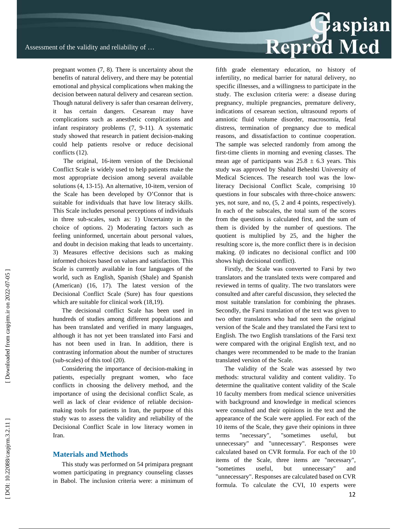pregnant women (7, 8). There is uncertainty about the benefits of natural delivery, and there may be potential emotional and physical complications when making the decision between natural delivery and cesarean section. Though natural delivery is safer than cesarean delivery, it has certain dangers. Cesarean may have complications such as anesthetic complications and infant respiratory problems (7, 9-11). A systematic study showed that research in patient decision-making could help patients resolve or reduce decisional conflicts (12).

 The original, 16-item version of the Decisional Conflict Scale is widely used to help patients make the most appropriate decision among several available solutions (4, 13-15). An alternative, 10-item, version of the Scale has been developed by O'Connor that is suitable for individuals that have low literacy skills. This Scale includes personal perceptions of individuals in three sub-scales, such as: 1) Uncertainty in the choice of options. 2) Moderating factors such as feeling uninformed, uncertain about personal values, and doubt in decision making that leads to uncertainty. 3) Measures effective decisions such as making informed choices based on values and satisfaction. This Scale is currently available in four languages of the world, such as English, Spanish (Shale) and Spanish (American) (16, 17). The latest version of the Decisional Conflict Scale (Sure) has four questions which are suitable for clinical work (18,19).

The decisional conflict Scale has been used in hundreds of studies among different populations and has been translated and verified in many languages, although it has not yet been translated into Farsi and has not been used in Iran. In addition, there is contrasting information about the number of structures (sub-scales) of this tool (20).

Considering the importance of decision-making in patients, especially pregnant women, who face conflicts in choosing the delivery method, and the importance of using the decisional conflict Scale, as well as lack of clear evidence of reliable decisionmaking tools for patients in Iran, the purpose of this study was to assess the validity and reliability of the Decisional Conflict Scale in low literacy women in Iran.

#### **Materials and Methods**

This study was performed on 54 primipara pregnant women participating in pregnancy counseling classes in Babol. The inclusion criteria were: a minimum of

# Reprod Med

fifth grade elementary education, no history of infertility, no medical barrier for natural delivery, no specific illnesses, and a willingness to participate in the study. The exclusion criteria were: a disease during pregnancy, multiple pregnancies, premature delivery, indications of cesarean section, ultrasound reports of amniotic fluid volume disorder, macrosomia, fetal distress, termination of pregnancy due to medical reasons, and dissatisfaction to continue cooperation. The sample was selected randomly from among the first-time clients in morning and evening classes. The mean age of participants was  $25.8 \pm 6.3$  years. This study was approved by Shahid Beheshti University of Medical Sciences. The research tool was the lowliteracy Decisional Conflict Scale, comprising 10 questions in four subscales with three-choice answers: yes, not sure, and no, (5, 2 and 4 points, respectively). In each of the subscales, the total sum of the scores from the questions is calculated first, and the sum of them is divided by the number of questions. The quotient is multiplied by 25, and the higher the resulting score is, the more conflict there is in decision making. (0 indicates no decisional conflict and 100 shows high decisional conflict).

Firstly, the Scale was converted to Farsi by two translators and the translated texts were compared and reviewed in terms of quality. The two translators were consulted and after careful discussion, they selected the most suitable translation for combining the phrases. Secondly, the Farsi translation of the text was given to two other translators who had not seen the original version of the Scale and they translated the Farsi text to English. The two English translations of the Farsi text were compared with the original English text, and no changes were recommended to be made to the Iranian translated version of the Scale.

The validity of the Scale was assessed by two methods: structural validity and content validity. To determine the qualitative content validity of the Scale 10 faculty members from medical science universities with background and knowledge in medical sciences were consulted and their opinions in the text and the appearance of the Scale were applied. For each of the 10 items of the Scale, they gave their opinions in three terms "necessary", "sometimes useful, but unnecessary" and "unnecessary". Responses were calculated based on CVR formula. For each of the 10 items of the Scale, three items are "necessary", "sometimes useful, but unnecessary" and "unnecessary". Responses are calculated based on CVR formula. To calculate the CVI, 10 experts were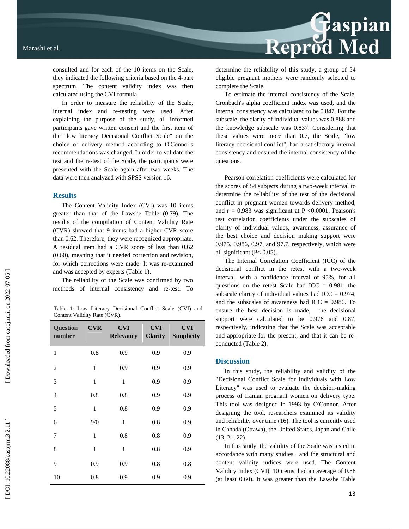consulted and for each of the 10 items on the Scale, they indicated the following criteria based on the 4-part spectrum. The content validity index was then calculated using the CVI formula.

In order to measure the reliability of the Scale, internal index and re-testing were used. After explaining the purpose of the study, all informed participants gave written consent and the first item of the "low literacy Decisional Conflict Scale" on the choice of delivery method according to O'Connor's recommendations was changed. In order to validate the test and the re-test of the Scale, the participants were presented with the Scale again after two weeks. The data were then analyzed with SPSS version 16.

#### **Results**

The Content Validity Index (CVI) was 10 items greater than that of the Lawshe Table (0.79). The results of the compilation of Content Validity Rate (CVR) showed that 9 items had a higher CVR score than 0.62. Therefore, they were recognized appropriate. A residual item had a CVR score of less than 0.62 (0.60), meaning that it needed correction and revision, for which corrections were made. It was re-examined and was accepted by experts (Table 1).

The reliability of the Scale was confirmed by two methods of internal consistency and re-test. To

Table 1: Low Literacy Decisional Conflict Scale (CVI) and Content Validity Rate (CVR).

| <b>Question</b><br>number | <b>CVR</b>   | <b>CVI</b><br><b>Relevancy</b> | <b>CVI</b><br><b>Clarity</b> | <b>CVI</b><br><b>Simplicity</b> |
|---------------------------|--------------|--------------------------------|------------------------------|---------------------------------|
| $\mathbf{1}$              | 0.8          | 0.9                            | 0.9                          | 0.9                             |
| $\overline{2}$            | $\mathbf{1}$ | 0.9                            | 0.9                          | 0.9                             |
| 3                         | 1            | 1                              | 0.9                          | 0.9                             |
| $\overline{4}$            | 0.8          | 0.8                            | 0.9                          | 0.9                             |
| 5                         | $\mathbf{1}$ | 0.8                            | 0.9                          | 0.9                             |
| 6                         | 9/0          | $\mathbf{1}$                   | 0.8                          | 0.9                             |
| 7                         | 1            | 0.8                            | 0.8                          | 0.9                             |
| 8                         | 1            | 1                              | 0.8                          | 0.9                             |
| 9                         | 0.9          | 0.9                            | 0.8                          | 0.8                             |
| 10                        | 0.8          | 0.9                            | 0.9                          | 0.9                             |

determine the reliability of this study, a group of 54 eligible pregnant mothers were randomly selected to complete the Scale.

Reprod Med

To estimate the internal consistency of the Scale, Cronbach's alpha coefficient index was used, and the internal consistency was calculated to be 0.847. For the subscale, the clarity of individual values was 0.888 and the knowledge subscale was 0.837. Considering that these values were more than 0.7, the Scale, "low literacy decisional conflict", had a satisfactory internal consistency and ensured the internal consistency of the questions.

Pearson correlation coefficients were calculated for the scores of 54 subjects during a two-week interval to determine the reliability of the test of the decisional conflict in pregnant women towards delivery method, and  $r = 0.983$  was significant at P < 0.0001. Pearson's test correlation coefficients under the subscales of clarity of individual values, awareness, assurance of the best choice and decision making support were 0.975, 0.986, 0.97, and 97.7, respectively, which were all significant (P< 0.05).

The Internal Correlation Coefficient (ICC) of the decisional conflict in the retest with a two-week interval, with a confidence interval of 95%, for all questions on the retest Scale had ICC  $= 0.981$ , the subscale clarity of individual values had  $ICC = 0.974$ , and the subscales of awareness had  $ICC = 0.986$ . To ensure the best decision is made, the decisional support were calculated to be 0.976 and 0.87, respectively, indicating that the Scale was acceptable and appropriate for the present, and that it can be reconducted (Table 2).

#### **Discussion**

In this study, the reliability and validity of the "Decisional Conflict Scale for Individuals with Low Literacy" was used to evaluate the decision-making process of Iranian pregnant women on delivery type. This tool was designed in 1993 by O'Connor. After designing the tool, researchers examined its validity and reliability over time (16). The tool is currently used in Canada (Ottawa), the United States, Japan and Chile (13, 21, 22).

In this study, the validity of the Scale was tested in accordance with many studies, and the structural and content validity indices were used. The Content Validity Index (CVI), 10 items, had an average of 0.88 (at least 0.60). It was greater than the Lawshe Table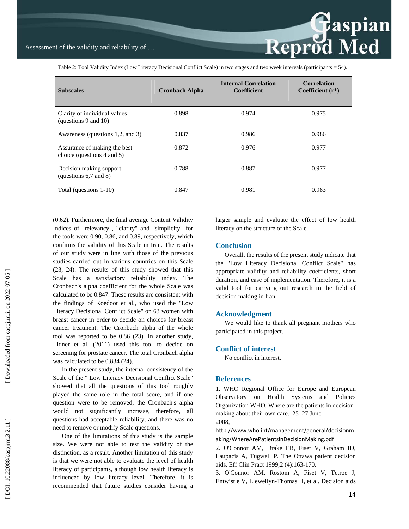Reprod Med

Table 2: Tool Validity Index (Low Literacy Decisional Conflict Scale) in two stages and two week intervals (participants = 54).

| <b>Subscales</b>                                           | <b>Cronbach Alpha</b> | <b>Internal Correlation</b><br><b>Coefficient</b> | <b>Correlation</b><br>Coefficient $(r^*)$ |
|------------------------------------------------------------|-----------------------|---------------------------------------------------|-------------------------------------------|
| Clarity of individual values<br>(questions 9 and 10)       | 0.898                 | 0.974                                             | 0.975                                     |
| Awareness (questions 1,2, and 3)                           | 0.837                 | 0.986                                             | 0.986                                     |
| Assurance of making the best<br>choice (questions 4 and 5) | 0.872                 | 0.976                                             | 0.977                                     |
| Decision making support<br>(questions $6,7$ and $8$ )      | 0.788                 | 0.887                                             | 0.977                                     |
| Total (questions 1-10)                                     | 0.847                 | 0.981                                             | 0.983                                     |

(0.62). Furthermore, the final average Content Validity Indices of "relevancy", "clarity" and "simplicity" for the tools were 0.90, 0.86, and 0.89, respectively, which confirms the validity of this Scale in Iran. The results of our study were in line with those of the previous studies carried out in various countries on this Scale (23, 24). The results of this study showed that this Scale has a satisfactory reliability index. The Cronbach's alpha coefficient for the whole Scale was calculated to be 0.847. These results are consistent with the findings of Koedoot et al., who used the "Low Literacy Decisional Conflict Scale" on 63 women with breast cancer in order to decide on choices for breast cancer treatment. The Cronbach alpha of the whole tool was reported to be 0.86 (23). In another study, Lidner et al. (2011) used this tool to decide on screening for prostate cancer. The total Cronbach alpha was calculated to be 0.834 (24).

In the present study, the internal consistency of the Scale of the " Low Literacy Decisional Conflict Scale" showed that all the questions of this tool roughly played the same role in the total score, and if one question were to be removed, the Cronbach's alpha would not significantly increase, therefore, all questions had acceptable reliability, and there was no need to remove or modify Scale questions.

One of the limitations of this study is the sample size. We were not able to test the validity of the distinction, as a result. Another limitation of this study is that we were not able to evaluate the level of health literacy of participants, although low health literacy is influenced by low literacy level. Therefore, it is recommended that future studies consider having a larger sample and evaluate the effect of low health literacy on the structure of the Scale.

### **Conclusion**

Overall, the results of the present study indicate that the "Low Literacy Decisional Conflict Scale" has appropriate validity and reliability coefficients, short duration, and ease of implementation. Therefore, it is a valid tool for carrying out research in the field of decision making in Iran

#### **Acknowledgment**

We would like to thank all pregnant mothers who participated in this project.

### **Conflict of interest**

No conflict in interest.

#### **References**

1. WHO Regional Office for Europe and European Observatory on Health Systems and Policies Organization WHO. Where are the patients in decisionmaking about their own care. 25–27 June 2008,

http://www.who.int/management/general/decisionm aking/WhereArePatientsinDecisionMaking.pdf

2. O'Connor AM, Drake ER, Fiset V, Graham ID, Laupacis A, Tugwell P. The Ottawa patient decision aids. Eff Clin Pract 1999;2 (4):163-170.

3. O'Connor AM, Rostom A, Fiset V, Tetroe J, Entwistle V, Llewellyn-Thomas H, et al. Decision aids